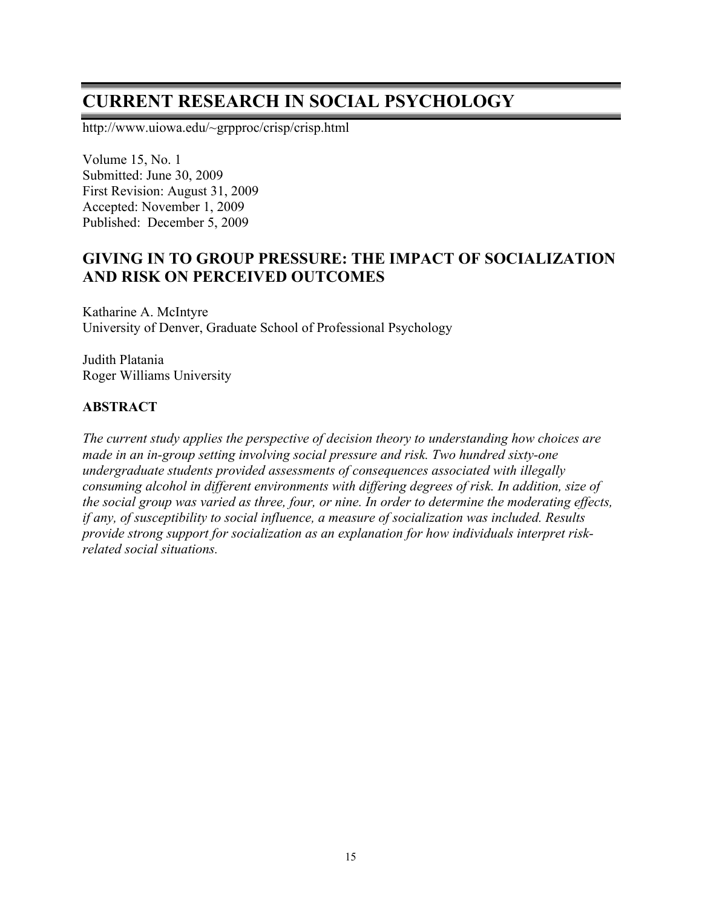# **CURRENT RESEARCH IN SOCIAL PSYCHOLOGY**

http://www.uiowa.edu/~grpproc/crisp/crisp.html

Volume 15, No. 1 Submitted: June 30, 2009 First Revision: August 31, 2009 Accepted: November 1, 2009 Published: December 5, 2009

# **GIVING IN TO GROUP PRESSURE: THE IMPACT OF SOCIALIZATION AND RISK ON PERCEIVED OUTCOMES**

Katharine A. McIntyre University of Denver, Graduate School of Professional Psychology

Judith Platania Roger Williams University

## **ABSTRACT**

*The current study applies the perspective of decision theory to understanding how choices are made in an in-group setting involving social pressure and risk. Two hundred sixty-one undergraduate students provided assessments of consequences associated with illegally consuming alcohol in different environments with differing degrees of risk. In addition, size of the social group was varied as three, four, or nine. In order to determine the moderating effects, if any, of susceptibility to social influence, a measure of socialization was included. Results provide strong support for socialization as an explanation for how individuals interpret riskrelated social situations.*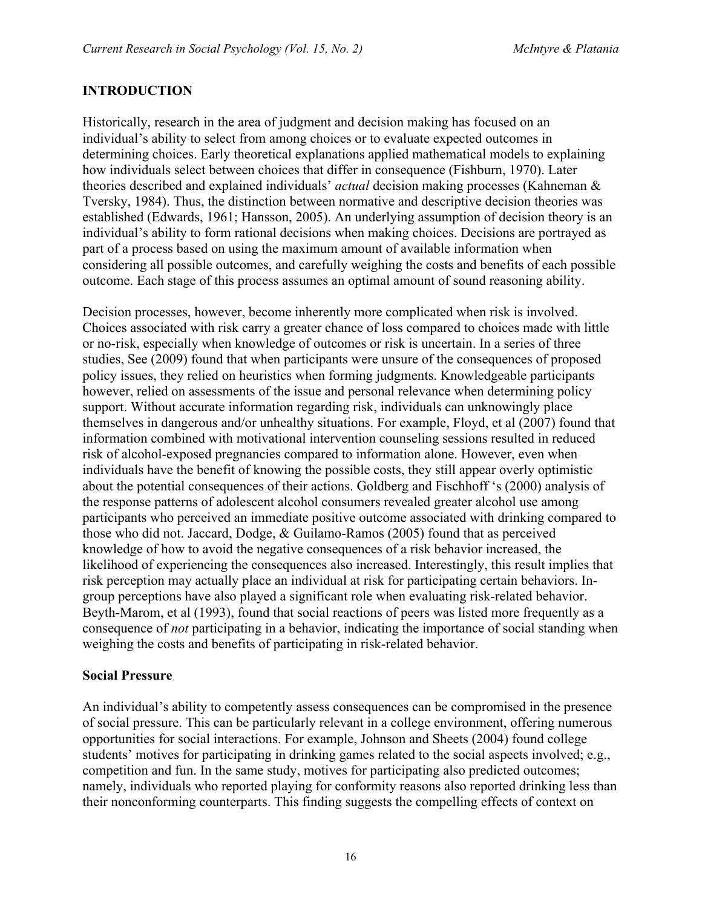# **INTRODUCTION**

Historically, research in the area of judgment and decision making has focused on an individual's ability to select from among choices or to evaluate expected outcomes in determining choices. Early theoretical explanations applied mathematical models to explaining how individuals select between choices that differ in consequence (Fishburn, 1970). Later theories described and explained individuals' *actual* decision making processes (Kahneman & Tversky, 1984). Thus, the distinction between normative and descriptive decision theories was established (Edwards, 1961; Hansson, 2005). An underlying assumption of decision theory is an individual's ability to form rational decisions when making choices. Decisions are portrayed as part of a process based on using the maximum amount of available information when considering all possible outcomes, and carefully weighing the costs and benefits of each possible outcome. Each stage of this process assumes an optimal amount of sound reasoning ability.

Decision processes, however, become inherently more complicated when risk is involved. Choices associated with risk carry a greater chance of loss compared to choices made with little or no-risk, especially when knowledge of outcomes or risk is uncertain. In a series of three studies, See (2009) found that when participants were unsure of the consequences of proposed policy issues, they relied on heuristics when forming judgments. Knowledgeable participants however, relied on assessments of the issue and personal relevance when determining policy support. Without accurate information regarding risk, individuals can unknowingly place themselves in dangerous and/or unhealthy situations. For example, Floyd, et al (2007) found that information combined with motivational intervention counseling sessions resulted in reduced risk of alcohol-exposed pregnancies compared to information alone. However, even when individuals have the benefit of knowing the possible costs, they still appear overly optimistic about the potential consequences of their actions. Goldberg and Fischhoff 's (2000) analysis of the response patterns of adolescent alcohol consumers revealed greater alcohol use among participants who perceived an immediate positive outcome associated with drinking compared to those who did not. Jaccard, Dodge, & Guilamo-Ramos (2005) found that as perceived knowledge of how to avoid the negative consequences of a risk behavior increased, the likelihood of experiencing the consequences also increased. Interestingly, this result implies that risk perception may actually place an individual at risk for participating certain behaviors. Ingroup perceptions have also played a significant role when evaluating risk-related behavior. Beyth-Marom, et al (1993), found that social reactions of peers was listed more frequently as a consequence of *not* participating in a behavior, indicating the importance of social standing when weighing the costs and benefits of participating in risk-related behavior.

#### **Social Pressure**

An individual's ability to competently assess consequences can be compromised in the presence of social pressure. This can be particularly relevant in a college environment, offering numerous opportunities for social interactions. For example, Johnson and Sheets (2004) found college students' motives for participating in drinking games related to the social aspects involved; e.g., competition and fun. In the same study, motives for participating also predicted outcomes; namely, individuals who reported playing for conformity reasons also reported drinking less than their nonconforming counterparts. This finding suggests the compelling effects of context on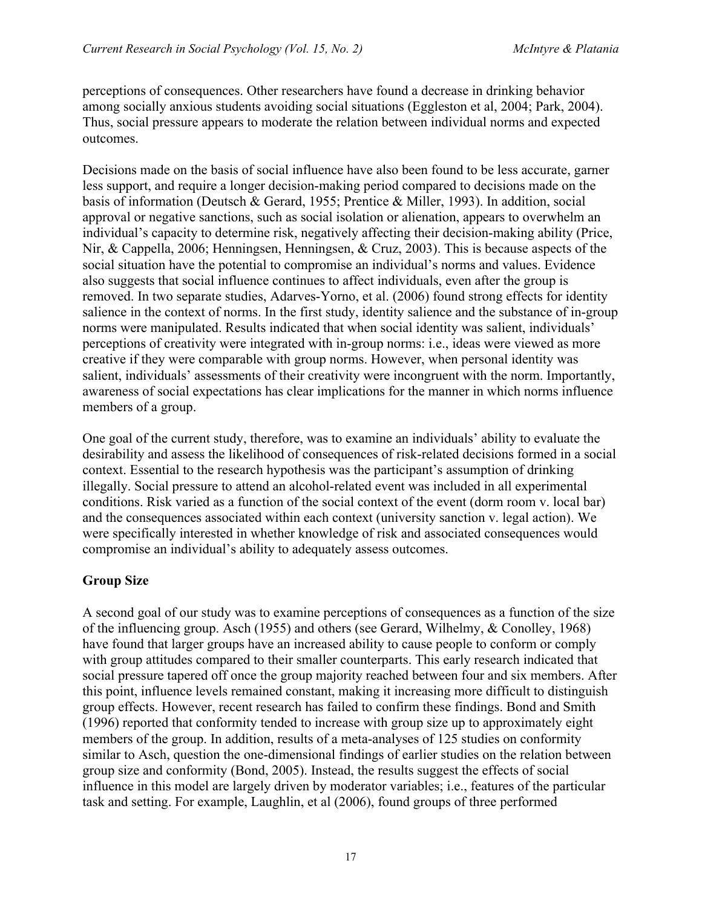perceptions of consequences. Other researchers have found a decrease in drinking behavior among socially anxious students avoiding social situations (Eggleston et al, 2004; Park, 2004). Thus, social pressure appears to moderate the relation between individual norms and expected outcomes.

Decisions made on the basis of social influence have also been found to be less accurate, garner less support, and require a longer decision-making period compared to decisions made on the basis of information (Deutsch & Gerard, 1955; Prentice & Miller, 1993). In addition, social approval or negative sanctions, such as social isolation or alienation, appears to overwhelm an individual's capacity to determine risk, negatively affecting their decision-making ability (Price, Nir, & Cappella, 2006; Henningsen, Henningsen, & Cruz, 2003). This is because aspects of the social situation have the potential to compromise an individual's norms and values. Evidence also suggests that social influence continues to affect individuals, even after the group is removed. In two separate studies, Adarves-Yorno, et al. (2006) found strong effects for identity salience in the context of norms. In the first study, identity salience and the substance of in-group norms were manipulated. Results indicated that when social identity was salient, individuals' perceptions of creativity were integrated with in-group norms: i.e., ideas were viewed as more creative if they were comparable with group norms. However, when personal identity was salient, individuals' assessments of their creativity were incongruent with the norm. Importantly, awareness of social expectations has clear implications for the manner in which norms influence members of a group.

One goal of the current study, therefore, was to examine an individuals' ability to evaluate the desirability and assess the likelihood of consequences of risk-related decisions formed in a social context. Essential to the research hypothesis was the participant's assumption of drinking illegally. Social pressure to attend an alcohol-related event was included in all experimental conditions. Risk varied as a function of the social context of the event (dorm room v. local bar) and the consequences associated within each context (university sanction v. legal action). We were specifically interested in whether knowledge of risk and associated consequences would compromise an individual's ability to adequately assess outcomes.

#### **Group Size**

A second goal of our study was to examine perceptions of consequences as a function of the size of the influencing group. Asch (1955) and others (see Gerard, Wilhelmy, & Conolley, 1968) have found that larger groups have an increased ability to cause people to conform or comply with group attitudes compared to their smaller counterparts. This early research indicated that social pressure tapered off once the group majority reached between four and six members. After this point, influence levels remained constant, making it increasing more difficult to distinguish group effects. However, recent research has failed to confirm these findings. Bond and Smith (1996) reported that conformity tended to increase with group size up to approximately eight members of the group. In addition, results of a meta-analyses of 125 studies on conformity similar to Asch, question the one-dimensional findings of earlier studies on the relation between group size and conformity (Bond, 2005). Instead, the results suggest the effects of social influence in this model are largely driven by moderator variables; i.e., features of the particular task and setting. For example, Laughlin, et al (2006), found groups of three performed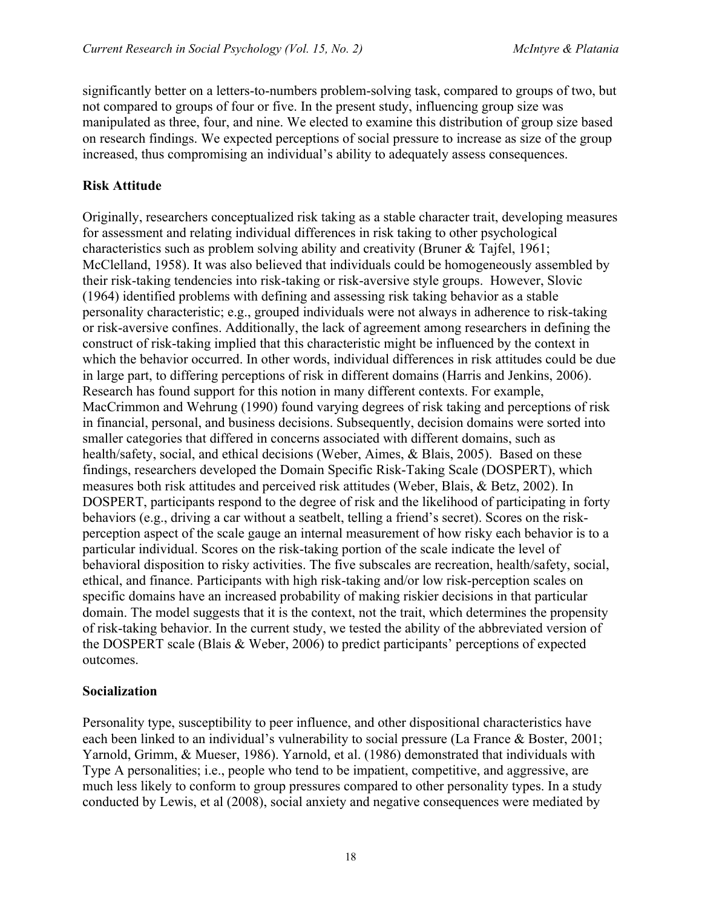significantly better on a letters-to-numbers problem-solving task, compared to groups of two, but not compared to groups of four or five. In the present study, influencing group size was manipulated as three, four, and nine. We elected to examine this distribution of group size based on research findings. We expected perceptions of social pressure to increase as size of the group increased, thus compromising an individual's ability to adequately assess consequences.

#### **Risk Attitude**

Originally, researchers conceptualized risk taking as a stable character trait, developing measures for assessment and relating individual differences in risk taking to other psychological characteristics such as problem solving ability and creativity (Bruner & Tajfel, 1961; McClelland, 1958). It was also believed that individuals could be homogeneously assembled by their risk-taking tendencies into risk-taking or risk-aversive style groups. However, Slovic (1964) identified problems with defining and assessing risk taking behavior as a stable personality characteristic; e.g., grouped individuals were not always in adherence to risk-taking or risk-aversive confines. Additionally, the lack of agreement among researchers in defining the construct of risk-taking implied that this characteristic might be influenced by the context in which the behavior occurred. In other words, individual differences in risk attitudes could be due in large part, to differing perceptions of risk in different domains (Harris and Jenkins, 2006). Research has found support for this notion in many different contexts. For example, MacCrimmon and Wehrung (1990) found varying degrees of risk taking and perceptions of risk in financial, personal, and business decisions. Subsequently, decision domains were sorted into smaller categories that differed in concerns associated with different domains, such as health/safety, social, and ethical decisions (Weber, Aimes, & Blais, 2005). Based on these findings, researchers developed the Domain Specific Risk-Taking Scale (DOSPERT), which measures both risk attitudes and perceived risk attitudes (Weber, Blais, & Betz, 2002). In DOSPERT, participants respond to the degree of risk and the likelihood of participating in forty behaviors (e.g., driving a car without a seatbelt, telling a friend's secret). Scores on the riskperception aspect of the scale gauge an internal measurement of how risky each behavior is to a particular individual. Scores on the risk-taking portion of the scale indicate the level of behavioral disposition to risky activities. The five subscales are recreation, health/safety, social, ethical, and finance. Participants with high risk-taking and/or low risk-perception scales on specific domains have an increased probability of making riskier decisions in that particular domain. The model suggests that it is the context, not the trait, which determines the propensity of risk-taking behavior. In the current study, we tested the ability of the abbreviated version of the DOSPERT scale (Blais & Weber, 2006) to predict participants' perceptions of expected outcomes.

#### **Socialization**

Personality type, susceptibility to peer influence, and other dispositional characteristics have each been linked to an individual's vulnerability to social pressure (La France & Boster, 2001; Yarnold, Grimm, & Mueser, 1986). Yarnold, et al. (1986) demonstrated that individuals with Type A personalities; i.e., people who tend to be impatient, competitive, and aggressive, are much less likely to conform to group pressures compared to other personality types. In a study conducted by Lewis, et al (2008), social anxiety and negative consequences were mediated by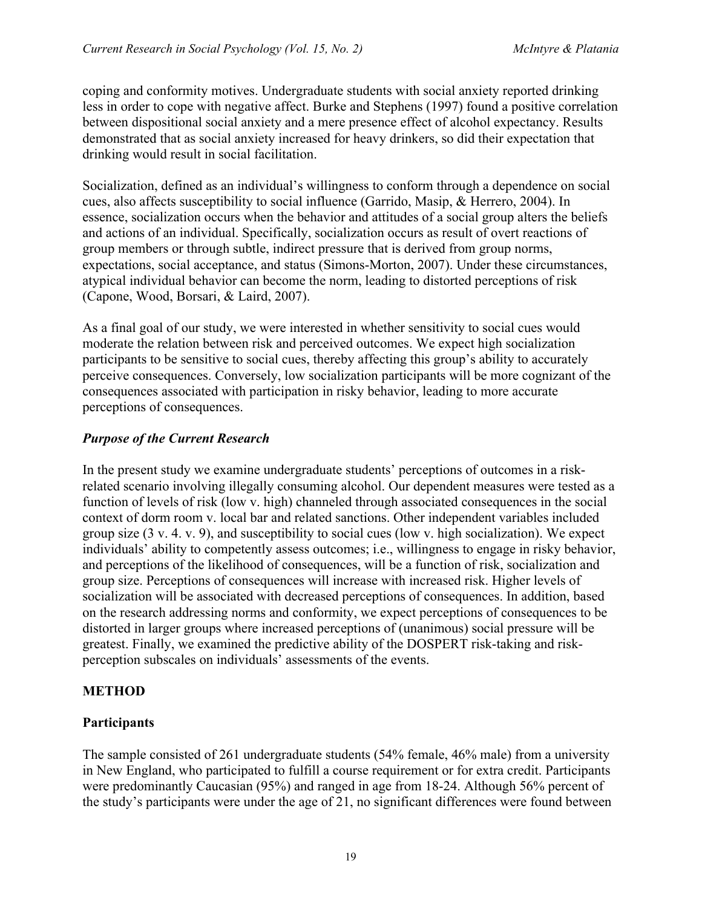coping and conformity motives. Undergraduate students with social anxiety reported drinking less in order to cope with negative affect. Burke and Stephens (1997) found a positive correlation between dispositional social anxiety and a mere presence effect of alcohol expectancy. Results demonstrated that as social anxiety increased for heavy drinkers, so did their expectation that drinking would result in social facilitation.

Socialization, defined as an individual's willingness to conform through a dependence on social cues, also affects susceptibility to social influence (Garrido, Masip, & Herrero, 2004). In essence, socialization occurs when the behavior and attitudes of a social group alters the beliefs and actions of an individual. Specifically, socialization occurs as result of overt reactions of group members or through subtle, indirect pressure that is derived from group norms, expectations, social acceptance, and status (Simons-Morton, 2007). Under these circumstances, atypical individual behavior can become the norm, leading to distorted perceptions of risk (Capone, Wood, Borsari, & Laird, 2007).

As a final goal of our study, we were interested in whether sensitivity to social cues would moderate the relation between risk and perceived outcomes. We expect high socialization participants to be sensitive to social cues, thereby affecting this group's ability to accurately perceive consequences. Conversely, low socialization participants will be more cognizant of the consequences associated with participation in risky behavior, leading to more accurate perceptions of consequences.

# *Purpose of the Current Research*

In the present study we examine undergraduate students' perceptions of outcomes in a riskrelated scenario involving illegally consuming alcohol. Our dependent measures were tested as a function of levels of risk (low v. high) channeled through associated consequences in the social context of dorm room v. local bar and related sanctions. Other independent variables included group size (3 v. 4. v. 9), and susceptibility to social cues (low v. high socialization). We expect individuals' ability to competently assess outcomes; i.e., willingness to engage in risky behavior, and perceptions of the likelihood of consequences, will be a function of risk, socialization and group size. Perceptions of consequences will increase with increased risk. Higher levels of socialization will be associated with decreased perceptions of consequences. In addition, based on the research addressing norms and conformity, we expect perceptions of consequences to be distorted in larger groups where increased perceptions of (unanimous) social pressure will be greatest. Finally, we examined the predictive ability of the DOSPERT risk-taking and riskperception subscales on individuals' assessments of the events.

#### **METHOD**

#### **Participants**

The sample consisted of 261 undergraduate students (54% female, 46% male) from a university in New England, who participated to fulfill a course requirement or for extra credit. Participants were predominantly Caucasian (95%) and ranged in age from 18-24. Although 56% percent of the study's participants were under the age of 21, no significant differences were found between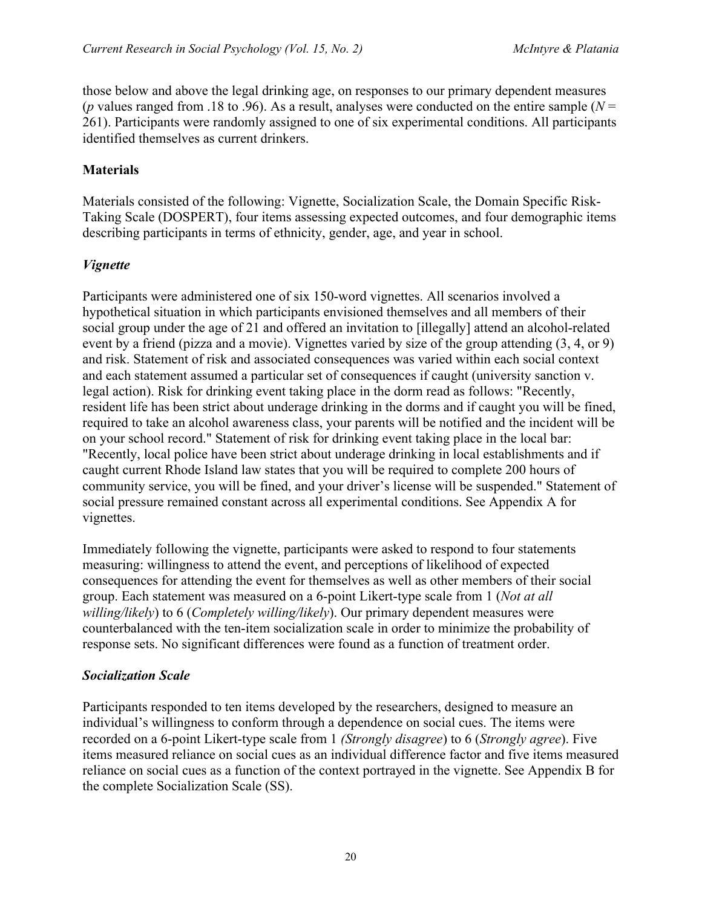those below and above the legal drinking age, on responses to our primary dependent measures (*p* values ranged from .18 to .96). As a result, analyses were conducted on the entire sample ( $N =$ 261). Participants were randomly assigned to one of six experimental conditions. All participants identified themselves as current drinkers.

#### **Materials**

Materials consisted of the following: Vignette, Socialization Scale, the Domain Specific Risk-Taking Scale (DOSPERT), four items assessing expected outcomes, and four demographic items describing participants in terms of ethnicity, gender, age, and year in school.

#### *Vignette*

Participants were administered one of six 150-word vignettes. All scenarios involved a hypothetical situation in which participants envisioned themselves and all members of their social group under the age of 21 and offered an invitation to [illegally] attend an alcohol-related event by a friend (pizza and a movie). Vignettes varied by size of the group attending (3, 4, or 9) and risk. Statement of risk and associated consequences was varied within each social context and each statement assumed a particular set of consequences if caught (university sanction v. legal action). Risk for drinking event taking place in the dorm read as follows: "Recently, resident life has been strict about underage drinking in the dorms and if caught you will be fined, required to take an alcohol awareness class, your parents will be notified and the incident will be on your school record." Statement of risk for drinking event taking place in the local bar: "Recently, local police have been strict about underage drinking in local establishments and if caught current Rhode Island law states that you will be required to complete 200 hours of community service, you will be fined, and your driver's license will be suspended." Statement of social pressure remained constant across all experimental conditions. See Appendix A for vignettes.

Immediately following the vignette, participants were asked to respond to four statements measuring: willingness to attend the event, and perceptions of likelihood of expected consequences for attending the event for themselves as well as other members of their social group. Each statement was measured on a 6-point Likert-type scale from 1 (*Not at all willing/likely*) to 6 (*Completely willing/likely*). Our primary dependent measures were counterbalanced with the ten-item socialization scale in order to minimize the probability of response sets. No significant differences were found as a function of treatment order.

#### *Socialization Scale*

Participants responded to ten items developed by the researchers, designed to measure an individual's willingness to conform through a dependence on social cues. The items were recorded on a 6-point Likert-type scale from 1 *(Strongly disagree*) to 6 (*Strongly agree*). Five items measured reliance on social cues as an individual difference factor and five items measured reliance on social cues as a function of the context portrayed in the vignette. See Appendix B for the complete Socialization Scale (SS).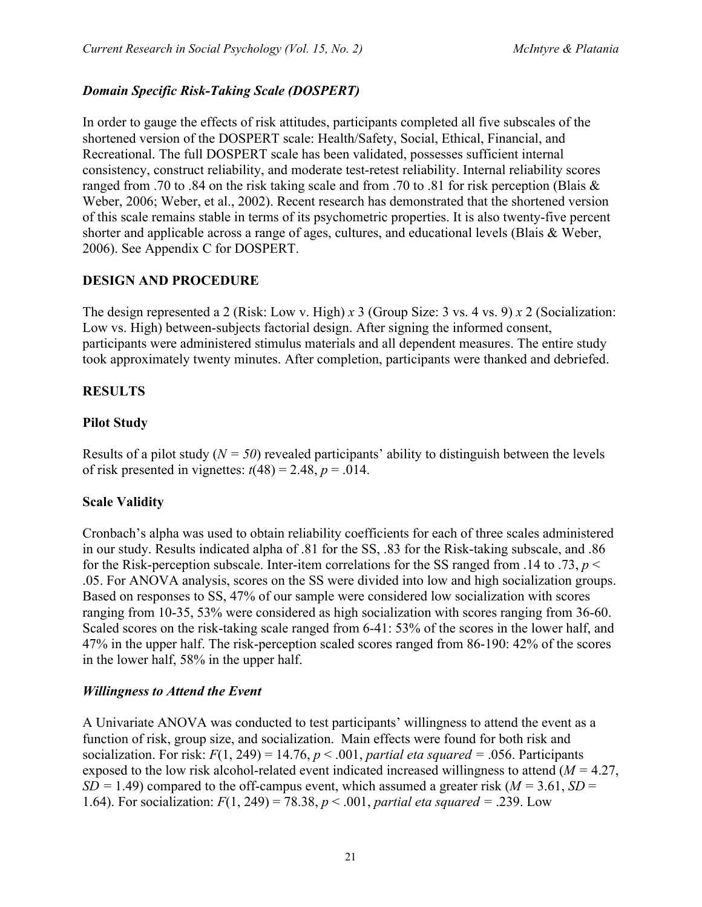## *Domain Specific Risk-Taking Scale (DOSPERT)*

In order to gauge the effects of risk attitudes, participants completed all five subscales of the shortened version of the DOSPERT scale: Health/Safety, Social, Ethical, Financial, and Recreational. The full DOSPERT scale has been validated, possesses sufficient internal consistency, construct reliability, and moderate test-retest reliability. Internal reliability scores ranged from .70 to .84 on the risk taking scale and from .70 to .81 for risk perception (Blais  $\&$ Weber, 2006; Weber, et al., 2002). Recent research has demonstrated that the shortened version of this scale remains stable in terms of its psychometric properties. It is also twenty-five percent shorter and applicable across a range of ages, cultures, and educational levels (Blais & Weber, 2006). See Appendix C for DOSPERT.

#### **DESIGN AND PROCEDURE**

The design represented a 2 (Risk: Low v. High) *x* 3 (Group Size: 3 vs. 4 vs. 9) *x* 2 (Socialization: Low vs. High) between-subjects factorial design. After signing the informed consent, participants were administered stimulus materials and all dependent measures. The entire study took approximately twenty minutes. After completion, participants were thanked and debriefed.

#### **RESULTS**

#### **Pilot Study**

Results of a pilot study  $(N = 50)$  revealed participants' ability to distinguish between the levels of risk presented in vignettes:  $t(48) = 2.48$ ,  $p = .014$ .

#### **Scale Validity**

Cronbach's alpha was used to obtain reliability coefficients for each of three scales administered in our study. Results indicated alpha of .81 for the SS, .83 for the Risk-taking subscale, and .86 for the Risk-perception subscale. Inter-item correlations for the SS ranged from .14 to .73,  $p <$ .05. For ANOVA analysis, scores on the SS were divided into low and high socialization groups. Based on responses to SS, 47% of our sample were considered low socialization with scores ranging from 10-35, 53% were considered as high socialization with scores ranging from 36-60. Scaled scores on the risk-taking scale ranged from 6-41: 53% of the scores in the lower half, and 47% in the upper half. The risk-perception scaled scores ranged from 86-190: 42% of the scores in the lower half, 58% in the upper half.

#### *Willingness to Attend the Event*

A Univariate ANOVA was conducted to test participants' willingness to attend the event as a function of risk, group size, and socialization. Main effects were found for both risk and socialization. For risk:  $F(1, 249) = 14.76$ ,  $p < .001$ , *partial eta squared* = .056. Participants exposed to the low risk alcohol-related event indicated increased willingness to attend (*M =* 4.27,  $SD = 1.49$ ) compared to the off-campus event, which assumed a greater risk ( $M = 3.61$ ,  $SD =$ 1.64). For socialization: *F*(1, 249) = 78.38, *p* < .001, *partial eta squared =* .239. Low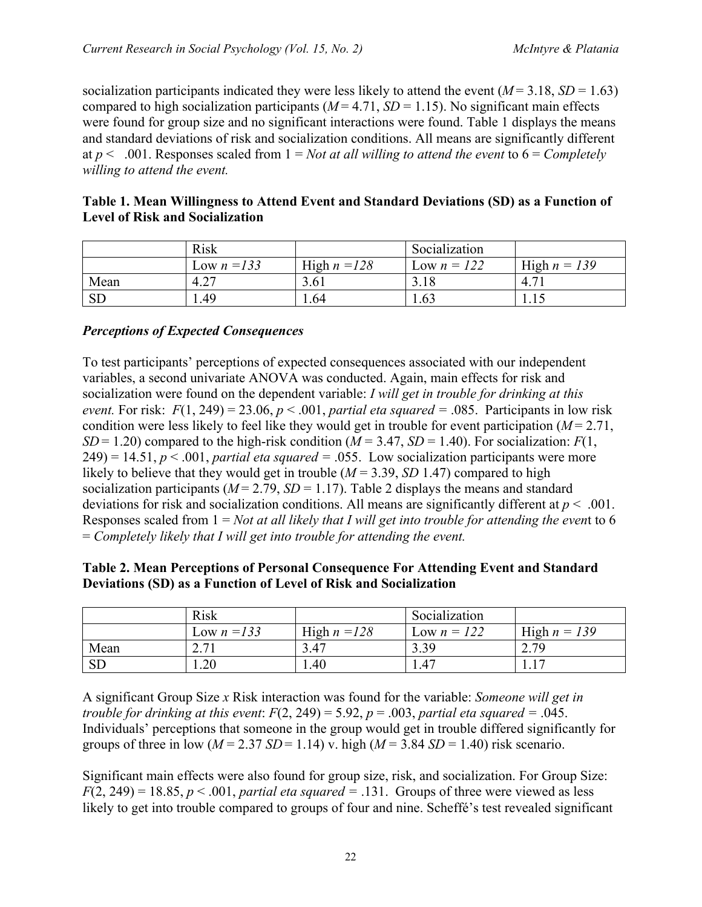socialization participants indicated they were less likely to attend the event  $(M = 3.18, SD = 1.63)$ compared to high socialization participants ( $M = 4.71$ ,  $SD = 1.15$ ). No significant main effects were found for group size and no significant interactions were found. Table 1 displays the means and standard deviations of risk and socialization conditions. All means are significantly different at  $p < .001$ . Responses scaled from  $1 = Not$  *at all willing to attend the event* to  $6 = Completely$ *willing to attend the event.*

|                                        | Table 1. Mean Willingness to Attend Event and Standard Deviations (SD) as a Function of |  |  |  |
|----------------------------------------|-----------------------------------------------------------------------------------------|--|--|--|
| <b>Level of Risk and Socialization</b> |                                                                                         |  |  |  |

|           | Risk          |                | Socialization |                |
|-----------|---------------|----------------|---------------|----------------|
|           | Low $n = 133$ | High $n = 128$ | Low $n = 122$ | High $n = 139$ |
| Mean      | 4.27          | 3.61           | 3.18          | 4.7            |
| <b>SD</b> | . 49          | .64            | 1.63          | 1.10           |

#### *Perceptions of Expected Consequences*

To test participants' perceptions of expected consequences associated with our independent variables, a second univariate ANOVA was conducted. Again, main effects for risk and socialization were found on the dependent variable: *I will get in trouble for drinking at this event.* For risk:  $F(1, 249) = 23.06$ ,  $p < .001$ , *partial eta squared* = .085. Participants in low risk condition were less likely to feel like they would get in trouble for event participation  $(M = 2.71)$ , *SD* = 1.20) compared to the high-risk condition ( $M = 3.47$ , *SD* = 1.40). For socialization: *F*(1,  $249$ ) = 14.51,  $p < .001$ , *partial eta squared* = .055. Low socialization participants were more likely to believe that they would get in trouble (*M* = 3.39, *SD* 1.47) compared to high socialization participants ( $M = 2.79$ ,  $SD = 1.17$ ). Table 2 displays the means and standard deviations for risk and socialization conditions. All means are significantly different at *p* < .001. Responses scaled from 1 = *Not at all likely that I will get into trouble for attending the even*t to 6 = *Completely likely that I will get into trouble for attending the event.*

| Table 2. Mean Perceptions of Personal Consequence For Attending Event and Standard |  |
|------------------------------------------------------------------------------------|--|
| Deviations (SD) as a Function of Level of Risk and Socialization                   |  |

|           | <b>Risk</b>   |                | Socialization |                |
|-----------|---------------|----------------|---------------|----------------|
|           | Low $n = 133$ | High $n = 128$ | Low $n = 122$ | High $n = 139$ |
| Mean      | 2.71          | 3.47           | 3.39          | 2.79           |
| <b>SD</b> | .20           | . .40          | 1.47          |                |

A significant Group Size *x* Risk interaction was found for the variable: *Someone will get in trouble for drinking at this event:*  $F(2, 249) = 5.92$ ,  $p = .003$ , *partial eta squared* = .045. Individuals' perceptions that someone in the group would get in trouble differed significantly for groups of three in low  $(M = 2.37 S/D = 1.14)$  v. high  $(M = 3.84 S/D = 1.40)$  risk scenario.

Significant main effects were also found for group size, risk, and socialization. For Group Size:  $F(2, 249) = 18.85$ ,  $p < .001$ , *partial eta squared* = .131. Groups of three were viewed as less likely to get into trouble compared to groups of four and nine. Scheffé's test revealed significant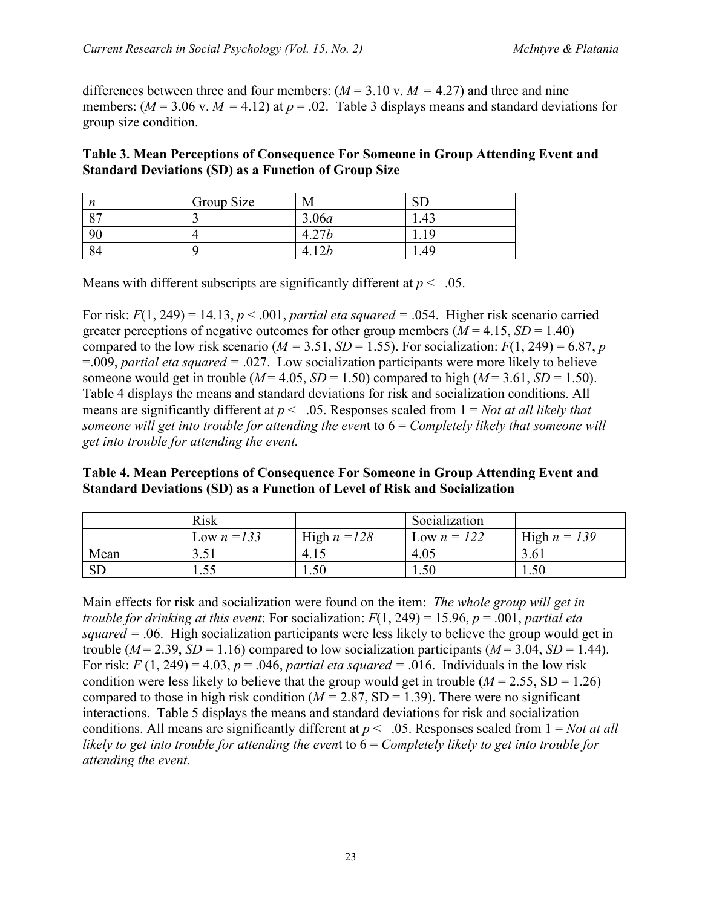differences between three and four members:  $(M = 3.10 \text{ v}$ .  $M = 4.27)$  and three and nine members:  $(M = 3.06 \text{ v}$ .  $M = 4.12$ ) at  $p = .02$ . Table 3 displays means and standard deviations for group size condition.

#### **Table 3. Mean Perceptions of Consequence For Someone in Group Attending Event and Standard Deviations (SD) as a Function of Group Size**

| n<br>,,  | Group Size | M           | ◡    |
|----------|------------|-------------|------|
| $\Omega$ |            | 3.06a       | 1.40 |
| 90       |            | $\sim$<br>Δ |      |
| 94       |            |             | 1.49 |

Means with different subscripts are significantly different at  $p < .05$ .

For risk:  $F(1, 249) = 14.13$ ,  $p < .001$ , *partial eta squared* = .054. Higher risk scenario carried greater perceptions of negative outcomes for other group members  $(M = 4.15, SD = 1.40)$ compared to the low risk scenario ( $M = 3.51$ ,  $SD = 1.55$ ). For socialization:  $F(1, 249) = 6.87$ , *p* =.009, *partial eta squared =* .027. Low socialization participants were more likely to believe someone would get in trouble ( $M = 4.05$ ,  $SD = 1.50$ ) compared to high ( $M = 3.61$ ,  $SD = 1.50$ ). Table 4 displays the means and standard deviations for risk and socialization conditions. All means are significantly different at  $p < .05$ . Responses scaled from  $1 = Not$  *at all likely that someone will get into trouble for attending the even*t to 6 = *Completely likely that someone will get into trouble for attending the event.*

#### **Table 4. Mean Perceptions of Consequence For Someone in Group Attending Event and Standard Deviations (SD) as a Function of Level of Risk and Socialization**

|      | <b>Risk</b>   |                | Socialization |                |
|------|---------------|----------------|---------------|----------------|
|      | Low $n = 133$ | High $n = 128$ | Low $n = 122$ | High $n = 139$ |
| Mean | 251           | $-4.1$         | 4.05          | 3.6            |
| SD   | ر ر .         | 1.50           | 1.50          | 1.50           |

Main effects for risk and socialization were found on the item: *The whole group will get in trouble for drinking at this event*: For socialization: *F*(1, 249) = 15.96, *p* = .001, *partial eta squared =* .06. High socialization participants were less likely to believe the group would get in trouble ( $M = 2.39$ ,  $SD = 1.16$ ) compared to low socialization participants ( $M = 3.04$ ,  $SD = 1.44$ ). For risk:  $F(1, 249) = 4.03$ ,  $p = .046$ , *partial eta squared* = .016. Individuals in the low risk condition were less likely to believe that the group would get in trouble  $(M = 2.55, SD = 1.26)$ compared to those in high risk condition ( $M = 2.87$ , SD = 1.39). There were no significant interactions. Table 5 displays the means and standard deviations for risk and socialization conditions. All means are significantly different at  $p < .05$ . Responses scaled from  $1 = Not$  *at all likely to get into trouble for attending the even*t to 6 = *Completely likely to get into trouble for attending the event.*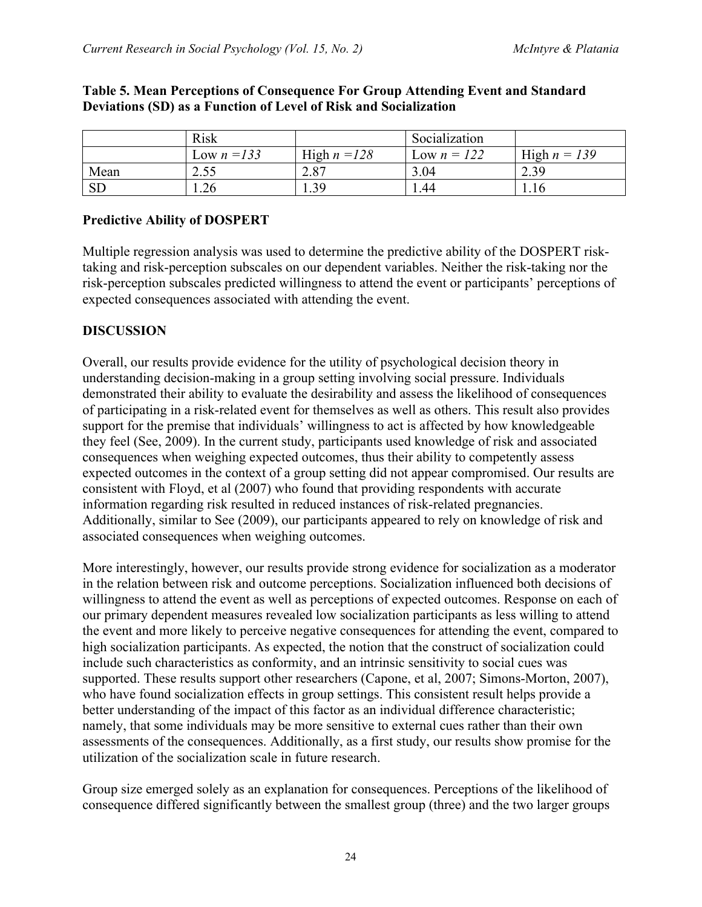|           | Risk          |                | Socialization |                |
|-----------|---------------|----------------|---------------|----------------|
|           | Low $n = 133$ | High $n = 128$ | Low $n = 122$ | High $n = 139$ |
| Mean      | 2.55          | 2.87           | 3.04          | 2.39           |
| <b>SD</b> | 1.26          | 1.39           | 1.44          | 1.16           |

#### **Table 5. Mean Perceptions of Consequence For Group Attending Event and Standard Deviations (SD) as a Function of Level of Risk and Socialization**

## **Predictive Ability of DOSPERT**

Multiple regression analysis was used to determine the predictive ability of the DOSPERT risktaking and risk-perception subscales on our dependent variables. Neither the risk-taking nor the risk-perception subscales predicted willingness to attend the event or participants' perceptions of expected consequences associated with attending the event.

#### **DISCUSSION**

Overall, our results provide evidence for the utility of psychological decision theory in understanding decision-making in a group setting involving social pressure. Individuals demonstrated their ability to evaluate the desirability and assess the likelihood of consequences of participating in a risk-related event for themselves as well as others. This result also provides support for the premise that individuals' willingness to act is affected by how knowledgeable they feel (See, 2009). In the current study, participants used knowledge of risk and associated consequences when weighing expected outcomes, thus their ability to competently assess expected outcomes in the context of a group setting did not appear compromised. Our results are consistent with Floyd, et al (2007) who found that providing respondents with accurate information regarding risk resulted in reduced instances of risk-related pregnancies. Additionally, similar to See (2009), our participants appeared to rely on knowledge of risk and associated consequences when weighing outcomes.

More interestingly, however, our results provide strong evidence for socialization as a moderator in the relation between risk and outcome perceptions. Socialization influenced both decisions of willingness to attend the event as well as perceptions of expected outcomes. Response on each of our primary dependent measures revealed low socialization participants as less willing to attend the event and more likely to perceive negative consequences for attending the event, compared to high socialization participants. As expected, the notion that the construct of socialization could include such characteristics as conformity, and an intrinsic sensitivity to social cues was supported. These results support other researchers (Capone, et al, 2007; Simons-Morton, 2007), who have found socialization effects in group settings. This consistent result helps provide a better understanding of the impact of this factor as an individual difference characteristic; namely, that some individuals may be more sensitive to external cues rather than their own assessments of the consequences. Additionally, as a first study, our results show promise for the utilization of the socialization scale in future research.

Group size emerged solely as an explanation for consequences. Perceptions of the likelihood of consequence differed significantly between the smallest group (three) and the two larger groups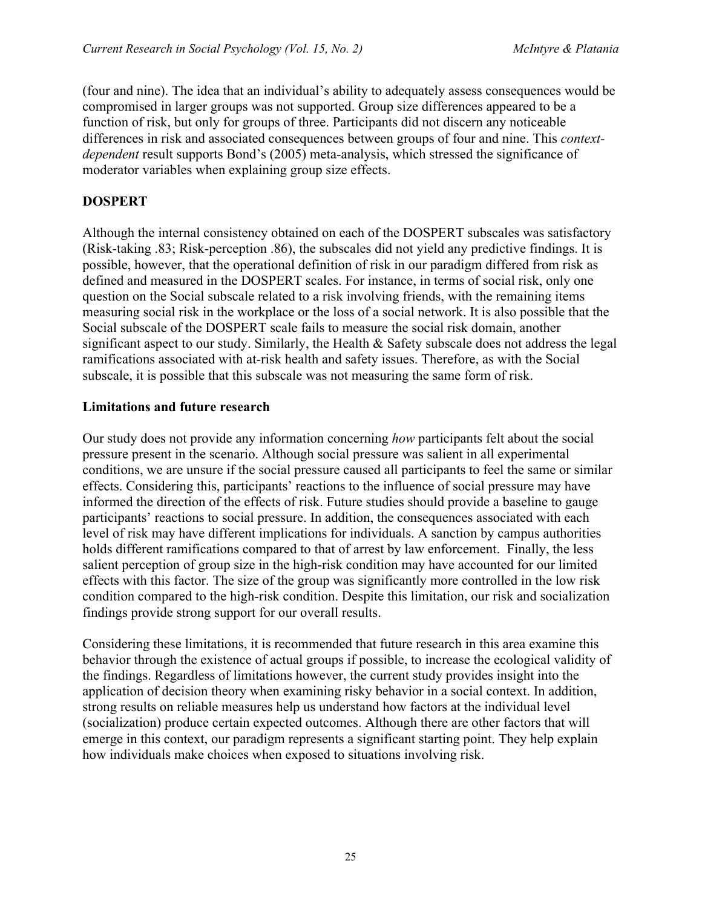(four and nine). The idea that an individual's ability to adequately assess consequences would be compromised in larger groups was not supported. Group size differences appeared to be a function of risk, but only for groups of three. Participants did not discern any noticeable differences in risk and associated consequences between groups of four and nine. This *contextdependent* result supports Bond's (2005) meta-analysis, which stressed the significance of moderator variables when explaining group size effects.

## **DOSPERT**

Although the internal consistency obtained on each of the DOSPERT subscales was satisfactory (Risk-taking .83; Risk-perception .86), the subscales did not yield any predictive findings. It is possible, however, that the operational definition of risk in our paradigm differed from risk as defined and measured in the DOSPERT scales. For instance, in terms of social risk, only one question on the Social subscale related to a risk involving friends, with the remaining items measuring social risk in the workplace or the loss of a social network. It is also possible that the Social subscale of the DOSPERT scale fails to measure the social risk domain, another significant aspect to our study. Similarly, the Health  $\&$  Safety subscale does not address the legal ramifications associated with at-risk health and safety issues. Therefore, as with the Social subscale, it is possible that this subscale was not measuring the same form of risk.

#### **Limitations and future research**

Our study does not provide any information concerning *how* participants felt about the social pressure present in the scenario. Although social pressure was salient in all experimental conditions, we are unsure if the social pressure caused all participants to feel the same or similar effects. Considering this, participants' reactions to the influence of social pressure may have informed the direction of the effects of risk. Future studies should provide a baseline to gauge participants' reactions to social pressure. In addition, the consequences associated with each level of risk may have different implications for individuals. A sanction by campus authorities holds different ramifications compared to that of arrest by law enforcement. Finally, the less salient perception of group size in the high-risk condition may have accounted for our limited effects with this factor. The size of the group was significantly more controlled in the low risk condition compared to the high-risk condition. Despite this limitation, our risk and socialization findings provide strong support for our overall results.

Considering these limitations, it is recommended that future research in this area examine this behavior through the existence of actual groups if possible, to increase the ecological validity of the findings. Regardless of limitations however, the current study provides insight into the application of decision theory when examining risky behavior in a social context. In addition, strong results on reliable measures help us understand how factors at the individual level (socialization) produce certain expected outcomes. Although there are other factors that will emerge in this context, our paradigm represents a significant starting point. They help explain how individuals make choices when exposed to situations involving risk.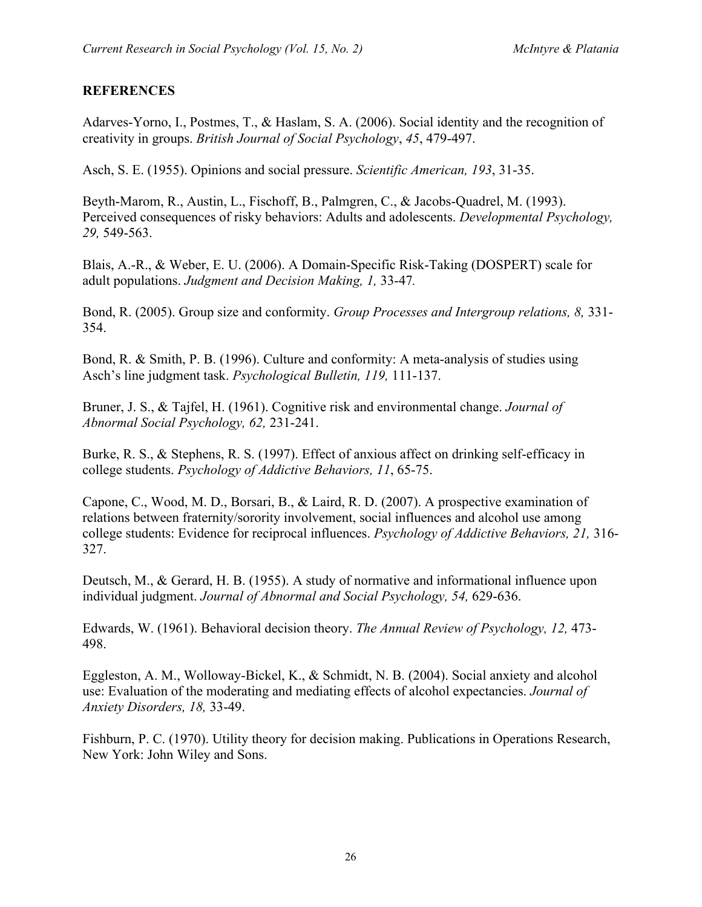#### **REFERENCES**

Adarves-Yorno, I., Postmes, T., & Haslam, S. A. (2006). Social identity and the recognition of creativity in groups. *British Journal of Social Psychology*, *45*, 479-497.

Asch, S. E. (1955). Opinions and social pressure. *Scientific American, 193*, 31-35.

Beyth-Marom, R., Austin, L., Fischoff, B., Palmgren, C., & Jacobs-Quadrel, M. (1993). Perceived consequences of risky behaviors: Adults and adolescents. *Developmental Psychology, 29,* 549-563.

Blais, A.-R., & Weber, E. U. (2006). A Domain-Specific Risk-Taking (DOSPERT) scale for adult populations. *Judgment and Decision Making, 1,* 33-47*.*

Bond, R. (2005). Group size and conformity. *Group Processes and Intergroup relations, 8,* 331- 354.

Bond, R. & Smith, P. B. (1996). Culture and conformity: A meta-analysis of studies using Asch's line judgment task. *Psychological Bulletin, 119,* 111-137.

Bruner, J. S., & Tajfel, H. (1961). Cognitive risk and environmental change. *Journal of Abnormal Social Psychology, 62,* 231-241.

Burke, R. S., & Stephens, R. S. (1997). Effect of anxious affect on drinking self-efficacy in college students. *Psychology of Addictive Behaviors, 11*, 65-75.

Capone, C., Wood, M. D., Borsari, B., & Laird, R. D. (2007). A prospective examination of relations between fraternity/sorority involvement, social influences and alcohol use among college students: Evidence for reciprocal influences. *Psychology of Addictive Behaviors, 21,* 316- 327.

Deutsch, M., & Gerard, H. B. (1955). A study of normative and informational influence upon individual judgment. *Journal of Abnormal and Social Psychology, 54,* 629-636.

Edwards, W. (1961). Behavioral decision theory. *The Annual Review of Psychology, 12,* 473- 498.

Eggleston, A. M., Wolloway-Bickel, K., & Schmidt, N. B. (2004). Social anxiety and alcohol use: Evaluation of the moderating and mediating effects of alcohol expectancies. *Journal of Anxiety Disorders, 18,* 33-49.

Fishburn, P. C. (1970). Utility theory for decision making. Publications in Operations Research, New York: John Wiley and Sons.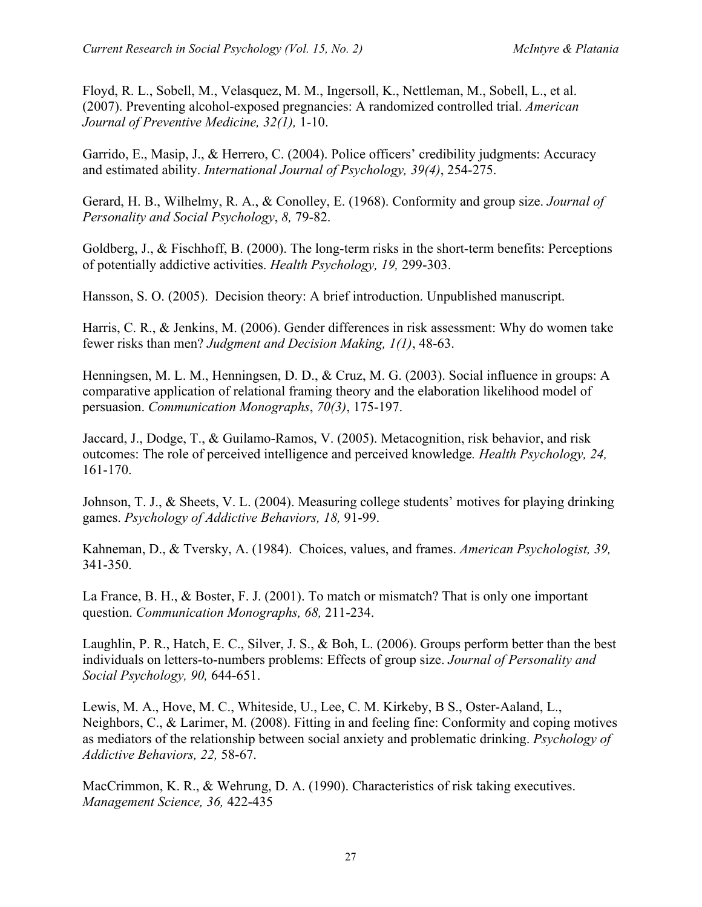Floyd, R. L., Sobell, M., Velasquez, M. M., Ingersoll, K., Nettleman, M., Sobell, L., et al. (2007). Preventing alcohol-exposed pregnancies: A randomized controlled trial. *American Journal of Preventive Medicine, 32(1),* 1-10.

Garrido, E., Masip, J., & Herrero, C. (2004). Police officers' credibility judgments: Accuracy and estimated ability. *International Journal of Psychology, 39(4)*, 254-275.

Gerard, H. B., Wilhelmy, R. A., & Conolley, E. (1968). Conformity and group size. *Journal of Personality and Social Psychology*, *8,* 79-82.

Goldberg, J., & Fischhoff, B. (2000). The long-term risks in the short-term benefits: Perceptions of potentially addictive activities. *Health Psychology, 19,* 299-303.

Hansson, S. O. (2005). Decision theory: A brief introduction. Unpublished manuscript.

Harris, C. R., & Jenkins, M. (2006). Gender differences in risk assessment: Why do women take fewer risks than men? *Judgment and Decision Making, 1(1)*, 48-63.

Henningsen, M. L. M., Henningsen, D. D., & Cruz, M. G. (2003). Social influence in groups: A comparative application of relational framing theory and the elaboration likelihood model of persuasion. *Communication Monographs*, *70(3)*, 175-197.

Jaccard, J., Dodge, T., & Guilamo-Ramos, V. (2005). Metacognition, risk behavior, and risk outcomes: The role of perceived intelligence and perceived knowledge*. Health Psychology, 24,*  161-170.

Johnson, T. J., & Sheets, V. L. (2004). Measuring college students' motives for playing drinking games. *Psychology of Addictive Behaviors, 18,* 91-99.

Kahneman, D., & Tversky, A. (1984). Choices, values, and frames. *American Psychologist, 39,* 341-350.

La France, B. H., & Boster, F. J. (2001). To match or mismatch? That is only one important question. *Communication Monographs, 68,* 211-234.

Laughlin, P. R., Hatch, E. C., Silver, J. S., & Boh, L. (2006). Groups perform better than the best individuals on letters-to-numbers problems: Effects of group size. *Journal of Personality and Social Psychology, 90,* 644-651.

Lewis, M. A., Hove, M. C., Whiteside, U., Lee, C. M. Kirkeby, B S., Oster-Aaland, L., Neighbors, C., & Larimer, M. (2008). Fitting in and feeling fine: Conformity and coping motives as mediators of the relationship between social anxiety and problematic drinking. *Psychology of Addictive Behaviors, 22,* 58-67.

MacCrimmon, K. R., & Wehrung, D. A. (1990). Characteristics of risk taking executives. *Management Science, 36,* 422-435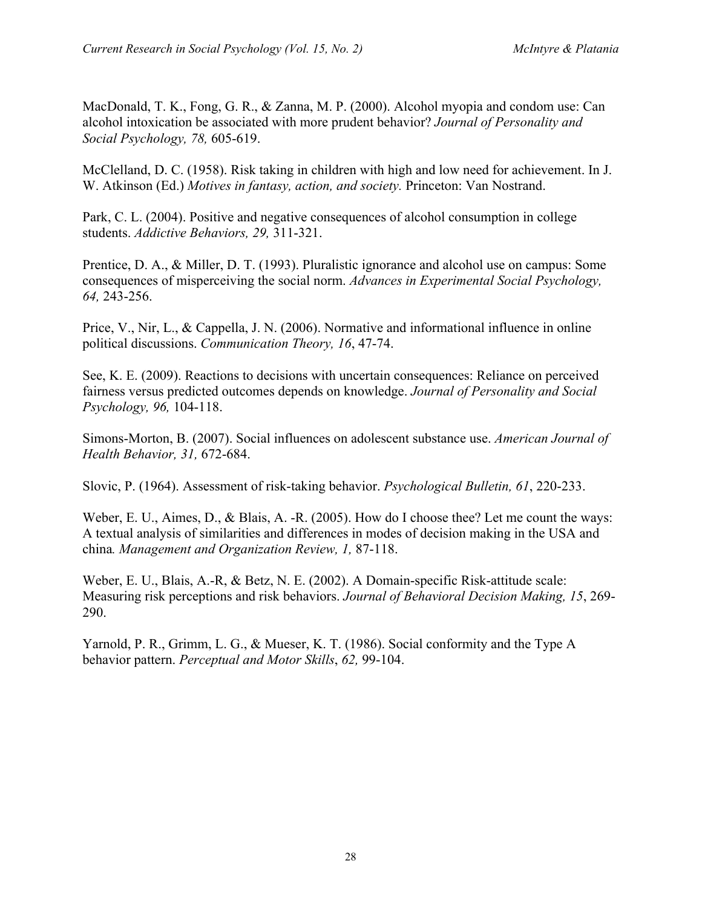MacDonald, T. K., Fong, G. R., & Zanna, M. P. (2000). Alcohol myopia and condom use: Can alcohol intoxication be associated with more prudent behavior? *Journal of Personality and Social Psychology, 78,* 605-619.

McClelland, D. C. (1958). Risk taking in children with high and low need for achievement. In J. W. Atkinson (Ed.) *Motives in fantasy, action, and society.* Princeton: Van Nostrand.

Park, C. L. (2004). Positive and negative consequences of alcohol consumption in college students. *Addictive Behaviors, 29,* 311-321.

Prentice, D. A., & Miller, D. T. (1993). Pluralistic ignorance and alcohol use on campus: Some consequences of misperceiving the social norm. *Advances in Experimental Social Psychology, 64,* 243-256.

Price, V., Nir, L., & Cappella, J. N. (2006). Normative and informational influence in online political discussions. *Communication Theory, 16*, 47-74.

See, K. E. (2009). Reactions to decisions with uncertain consequences: Reliance on perceived fairness versus predicted outcomes depends on knowledge. *Journal of Personality and Social Psychology, 96,* 104-118.

Simons-Morton, B. (2007). Social influences on adolescent substance use. *American Journal of Health Behavior, 31,* 672-684.

Slovic, P. (1964). Assessment of risk-taking behavior. *Psychological Bulletin, 61*, 220-233.

Weber, E. U., Aimes, D., & Blais, A. -R. (2005). How do I choose thee? Let me count the ways: A textual analysis of similarities and differences in modes of decision making in the USA and china*. Management and Organization Review, 1,* 87-118.

Weber, E. U., Blais, A.-R, & Betz, N. E. (2002). A Domain-specific Risk-attitude scale: Measuring risk perceptions and risk behaviors. *Journal of Behavioral Decision Making, 15*, 269- 290.

Yarnold, P. R., Grimm, L. G., & Mueser, K. T. (1986). Social conformity and the Type A behavior pattern. *Perceptual and Motor Skills*, *62,* 99-104.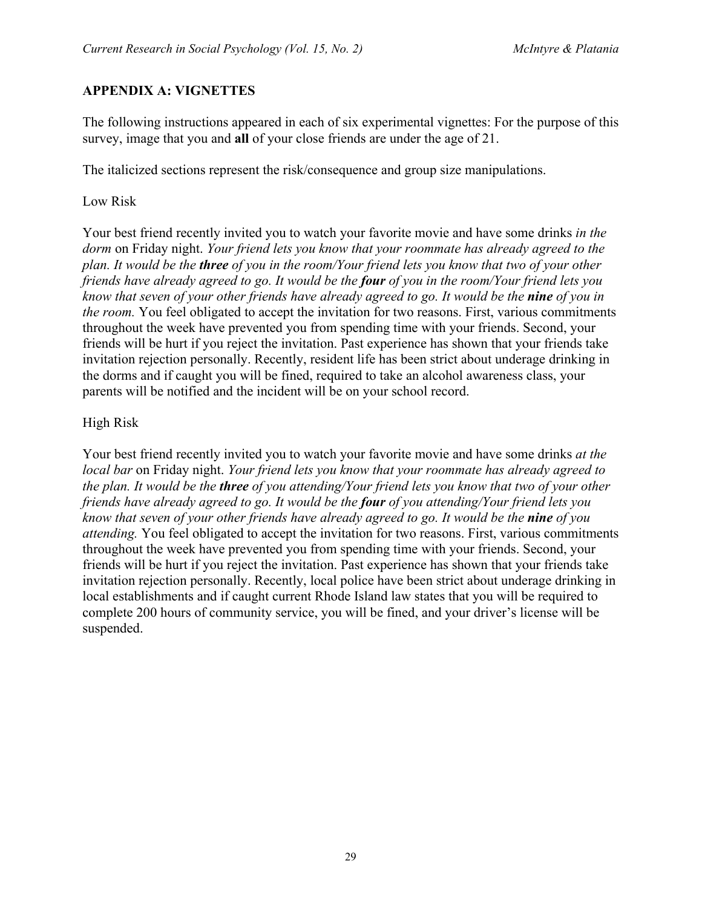## **APPENDIX A: VIGNETTES**

The following instructions appeared in each of six experimental vignettes: For the purpose of this survey, image that you and **all** of your close friends are under the age of 21.

The italicized sections represent the risk/consequence and group size manipulations.

#### Low Risk

Your best friend recently invited you to watch your favorite movie and have some drinks *in the dorm* on Friday night. *Your friend lets you know that your roommate has already agreed to the plan. It would be the three of you in the room/Your friend lets you know that two of your other friends have already agreed to go. It would be the four of you in the room/Your friend lets you know that seven of your other friends have already agreed to go. It would be the nine of you in the room.* You feel obligated to accept the invitation for two reasons. First, various commitments throughout the week have prevented you from spending time with your friends. Second, your friends will be hurt if you reject the invitation. Past experience has shown that your friends take invitation rejection personally. Recently, resident life has been strict about underage drinking in the dorms and if caught you will be fined, required to take an alcohol awareness class, your parents will be notified and the incident will be on your school record.

#### High Risk

Your best friend recently invited you to watch your favorite movie and have some drinks *at the local bar* on Friday night. *Your friend lets you know that your roommate has already agreed to the plan. It would be the three of you attending/Your friend lets you know that two of your other friends have already agreed to go. It would be the four of you attending/Your friend lets you know that seven of your other friends have already agreed to go. It would be the nine of you attending.* You feel obligated to accept the invitation for two reasons. First, various commitments throughout the week have prevented you from spending time with your friends. Second, your friends will be hurt if you reject the invitation. Past experience has shown that your friends take invitation rejection personally. Recently, local police have been strict about underage drinking in local establishments and if caught current Rhode Island law states that you will be required to complete 200 hours of community service, you will be fined, and your driver's license will be suspended.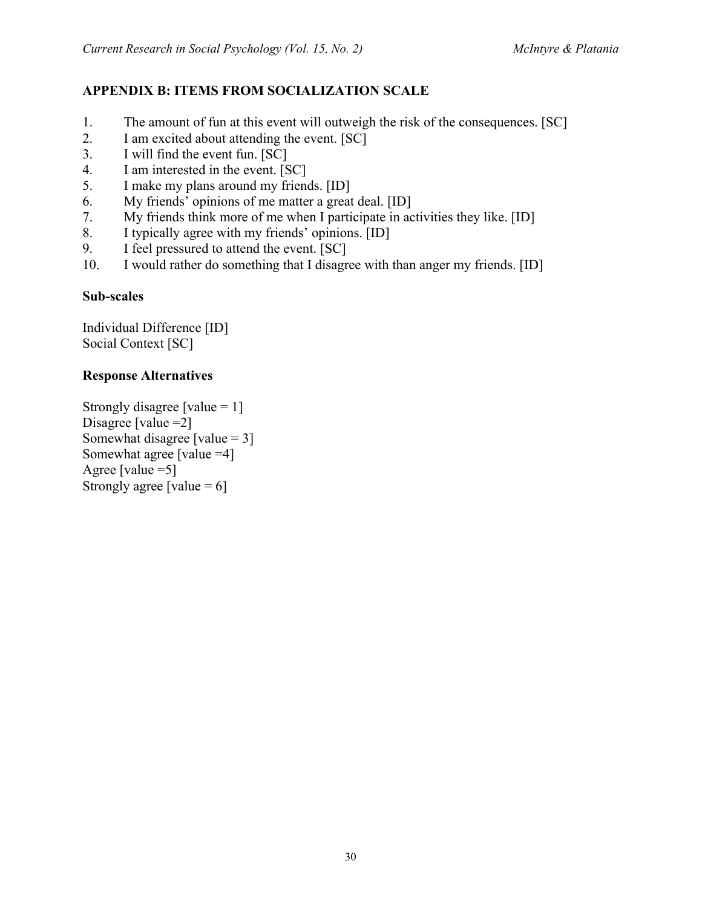# **APPENDIX B: ITEMS FROM SOCIALIZATION SCALE**

- 1. The amount of fun at this event will outweigh the risk of the consequences. [SC]
- 2. I am excited about attending the event. [SC]
- 3. I will find the event fun. [SC]
- 4. I am interested in the event. [SC]
- 5. I make my plans around my friends. [ID]
- 6. My friends' opinions of me matter a great deal. [ID]
- 7. My friends think more of me when I participate in activities they like. [ID]
- 8. I typically agree with my friends' opinions. [ID]
- 9. I feel pressured to attend the event. [SC]
- 10. I would rather do something that I disagree with than anger my friends. [ID]

#### **Sub-scales**

Individual Difference [ID] Social Context [SC]

## **Response Alternatives**

Strongly disagree [value  $= 1$ ] Disagree [value = 2] Somewhat disagree [value = 3] Somewhat agree [value =4] Agree [value  $=5$ ] Strongly agree [value  $= 6$ ]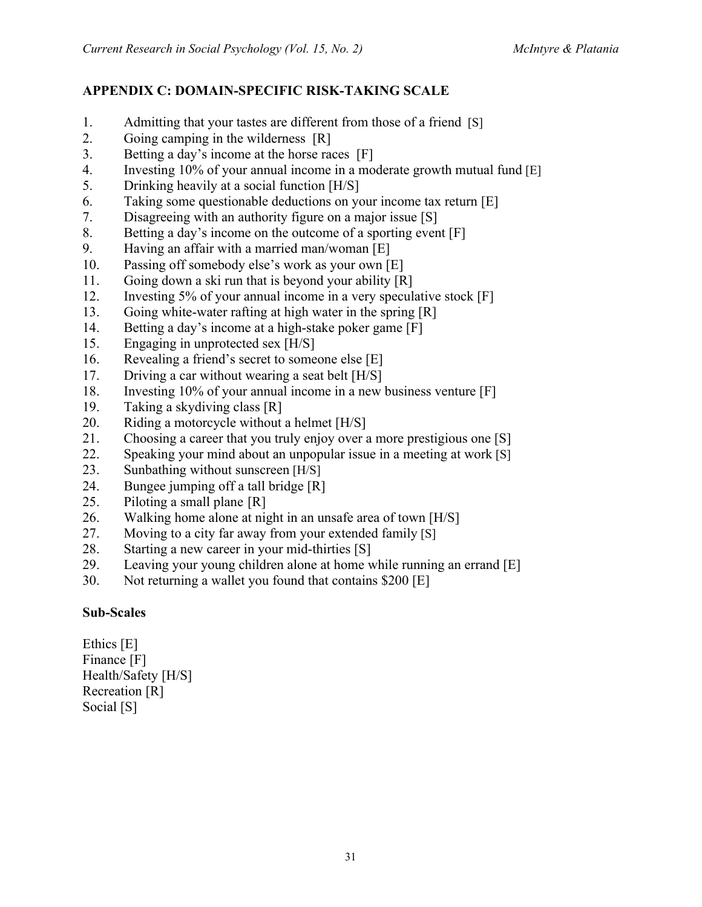# **APPENDIX C: DOMAIN-SPECIFIC RISK-TAKING SCALE**

- 1. Admitting that your tastes are different from those of a friend [S]
- 2. Going camping in the wilderness [R]
- 3. Betting a day's income at the horse races [F]
- 4. Investing 10% of your annual income in a moderate growth mutual fund [E]
- 5. Drinking heavily at a social function [H/S]
- 6. Taking some questionable deductions on your income tax return [E]
- 7. Disagreeing with an authority figure on a major issue [S]
- 8. Betting a day's income on the outcome of a sporting event [F]
- 9. Having an affair with a married man/woman [E]
- 10. Passing off somebody else's work as your own [E]
- 11. Going down a ski run that is beyond your ability [R]
- 12. Investing 5% of your annual income in a very speculative stock [F]
- 13. Going white-water rafting at high water in the spring [R]
- 14. Betting a day's income at a high-stake poker game [F]
- 15. Engaging in unprotected sex [H/S]
- 16. Revealing a friend's secret to someone else [E]
- 17. Driving a car without wearing a seat belt [H/S]
- 18. Investing 10% of your annual income in a new business venture [F]
- 19. Taking a skydiving class [R]
- 20. Riding a motorcycle without a helmet [H/S]
- 21. Choosing a career that you truly enjoy over a more prestigious one [S]
- 22. Speaking your mind about an unpopular issue in a meeting at work [S]
- 23. Sunbathing without sunscreen [H/S]
- 24. Bungee jumping off a tall bridge [R]
- 25. Piloting a small plane [R]
- 26. Walking home alone at night in an unsafe area of town [H/S]
- 27. Moving to a city far away from your extended family [S]
- 28. Starting a new career in your mid-thirties [S]
- 29. Leaving your young children alone at home while running an errand [E]
- 30. Not returning a wallet you found that contains \$200 [E]

#### **Sub-Scales**

Ethics [E] Finance [F] Health/Safety [H/S] Recreation [R] Social [S]